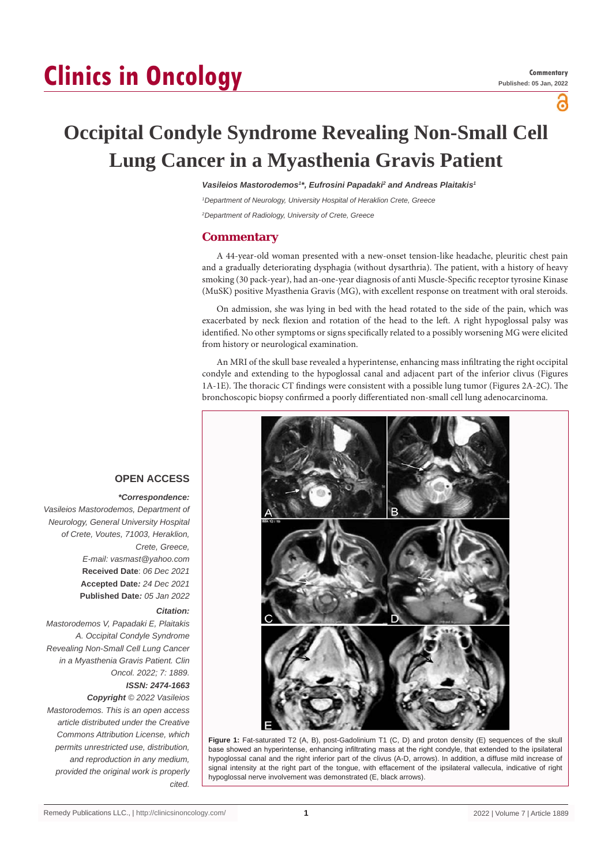# **Clinics in Oncology**

а

# **Occipital Condyle Syndrome Revealing Non-Small Cell Lung Cancer in a Myasthenia Gravis Patient**

Vasileios Mastorodemos<sup>1\*</sup>, Eufrosini Papadaki<sup>2</sup> and Andreas Plaitakis<sup>1</sup>

*1 Department of Neurology, University Hospital of Heraklion Crete, Greece 2 Department of Radiology, University of Crete, Greece*

### **Commentary**

A 44-year-old woman presented with a new-onset tension-like headache, pleuritic chest pain and a gradually deteriorating dysphagia (without dysarthria). The patient, with a history of heavy smoking (30 pack-year), had an-one-year diagnosis of anti Muscle-Specific receptor tyrosine Kinase (MuSK) positive Myasthenia Gravis (MG), with excellent response on treatment with oral steroids.

On admission, she was lying in bed with the head rotated to the side of the pain, which was exacerbated by neck flexion and rotation of the head to the left. A right hypoglossal palsy was identified. No other symptoms or signs specifically related to a possibly worsening MG were elicited from history or neurological examination.

An MRI of the skull base revealed a hyperintense, enhancing mass infiltrating the right occipital condyle and extending to the hypoglossal canal and adjacent part of the inferior clivus (Figures 1A-1E). The thoracic CT findings were consistent with a possible lung tumor (Figures 2A-2C). The bronchoscopic biopsy confirmed a poorly differentiated non-small cell lung adenocarcinoma.



**Figure 1:** Fat-saturated T2 (A, B), post-Gadolinium T1 (C, D) and proton density (E) sequences of the skull base showed an hyperintense, enhancing infiltrating mass at the right condyle, that extended to the ipsilateral hypoglossal canal and the right inferior part of the clivus (A-D, arrows). In addition, a diffuse mild increase of signal intensity at the right part of the tongue, with effacement of the ipsilateral vallecula, indicative of right hypoglossal nerve involvement was demonstrated (E, black arrows).

# **OPEN ACCESS**

 *\*Correspondence: Vasileios Mastorodemos, Department of Neurology, General University Hospital of Crete, Voutes, 71003, Heraklion, Crete, Greece, E-mail: vasmast@yahoo.com* **Received Date**: *06 Dec 2021* **Accepted Date***: 24 Dec 2021* **Published Date***: 05 Jan 2022*

#### *Citation:*

*Mastorodemos V, Papadaki E, Plaitakis A. Occipital Condyle Syndrome Revealing Non-Small Cell Lung Cancer in a Myasthenia Gravis Patient. Clin Oncol. 2022; 7: 1889. ISSN: 2474-1663*

## *Copyright © 2022 Vasileios*

*Mastorodemos. This is an open access article distributed under the Creative Commons Attribution License, which permits unrestricted use, distribution, and reproduction in any medium, provided the original work is properly cited.*